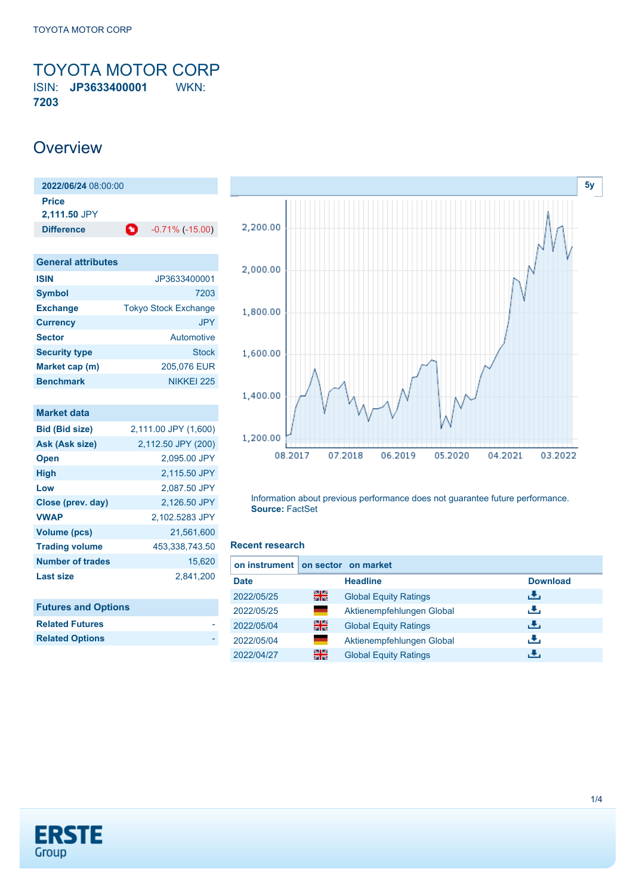<span id="page-0-0"></span>TOYOTA MOTOR CORP ISIN: **JP3633400001** WKN: **7203**

## **Overview**

| 2022/06/24 08:00:00          |   |                    |  |  |  |
|------------------------------|---|--------------------|--|--|--|
| <b>Price</b><br>2,111.50 JPY |   |                    |  |  |  |
| <b>Difference</b>            | o | $-0.71\%$ (-15.00) |  |  |  |

| <b>General attributes</b> |                             |
|---------------------------|-----------------------------|
| <b>ISIN</b>               | JP3633400001                |
| <b>Symbol</b>             | 7203                        |
| <b>Exchange</b>           | <b>Tokyo Stock Exchange</b> |
| <b>Currency</b>           | <b>JPY</b>                  |
| <b>Sector</b>             | Automotive                  |
| <b>Security type</b>      | Stock                       |
| Market cap (m)            | 205,076 EUR                 |
| <b>Benchmark</b>          | NIKKEI 225                  |

| <b>Market data</b>      |                      |
|-------------------------|----------------------|
| <b>Bid (Bid size)</b>   | 2,111.00 JPY (1,600) |
| <b>Ask (Ask size)</b>   | 2,112.50 JPY (200)   |
| <b>Open</b>             | 2.095.00 JPY         |
| <b>High</b>             | 2,115.50 JPY         |
| Low                     | 2,087.50 JPY         |
| Close (prev. day)       | 2.126.50 JPY         |
| <b>VWAP</b>             | 2,102.5283 JPY       |
| <b>Volume (pcs)</b>     | 21,561,600           |
| <b>Trading volume</b>   | 453,338,743.50       |
| <b>Number of trades</b> | 15,620               |
| Last size               | 2,841,200            |
|                         |                      |

| <b>Futures and Options</b> |  |
|----------------------------|--|
| <b>Related Futures</b>     |  |
| <b>Related Options</b>     |  |



Information about previous performance does not guarantee future performance. **Source:** FactSet

#### **Recent research**

| on instrument on sector on market |    |                              |                 |
|-----------------------------------|----|------------------------------|-----------------|
| <b>Date</b>                       |    | <b>Headline</b>              | <b>Download</b> |
| 2022/05/25                        | 을  | <b>Global Equity Ratings</b> | رنان            |
| 2022/05/25                        | ٠  | Aktienempfehlungen Global    | J.              |
| 2022/05/04                        | 噐  | <b>Global Equity Ratings</b> | رالى            |
| 2022/05/04                        | ٠  | Aktienempfehlungen Global    | æ,              |
| 2022/04/27                        | 을중 | <b>Global Equity Ratings</b> | æ.              |

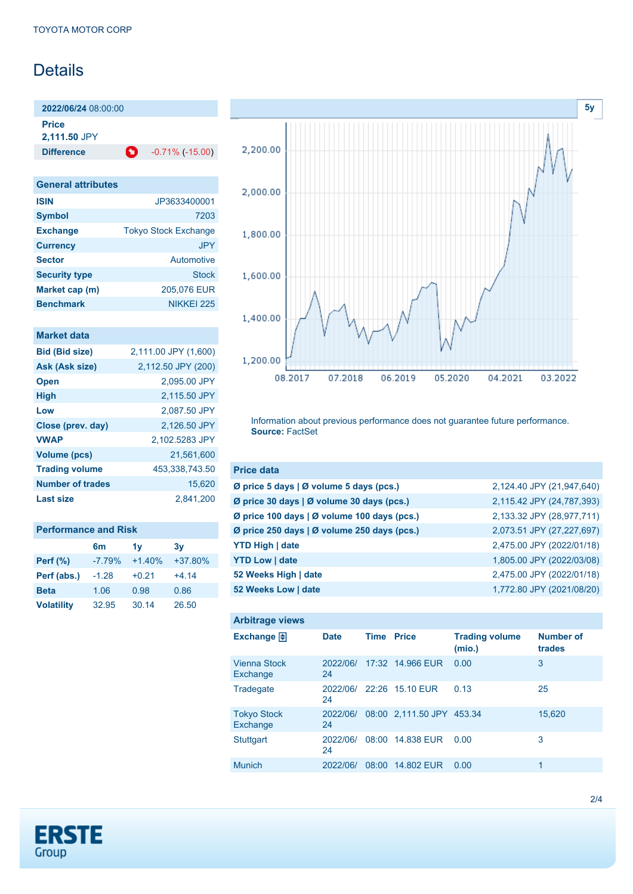## **Details**

**2022/06/24** 08:00:00

**Price**

**2,111.50** JPY

**Difference C** -0.71% (-15.00)

| <b>General attributes</b> |                             |
|---------------------------|-----------------------------|
| <b>ISIN</b>               | JP3633400001                |
| <b>Symbol</b>             | 7203                        |
| <b>Exchange</b>           | <b>Tokyo Stock Exchange</b> |
| <b>Currency</b>           | <b>JPY</b>                  |
| <b>Sector</b>             | <b>Automotive</b>           |
| <b>Security type</b>      | Stock                       |
| Market cap (m)            | 205.076 EUR                 |
| <b>Benchmark</b>          | NIKKEI 225                  |

## **Market data**

| <b>Bid (Bid size)</b>   | 2,111.00 JPY (1,600) |
|-------------------------|----------------------|
| Ask (Ask size)          | 2,112.50 JPY (200)   |
| <b>Open</b>             | 2.095.00 JPY         |
| <b>High</b>             | 2.115.50 JPY         |
| Low                     | 2,087.50 JPY         |
| Close (prev. day)       | 2.126.50 JPY         |
| <b>VWAP</b>             | 2.102.5283 JPY       |
| <b>Volume (pcs)</b>     | 21,561,600           |
| <b>Trading volume</b>   | 453,338,743.50       |
| <b>Number of trades</b> | 15.620               |
| <b>Last size</b>        | 2.841.200            |
|                         |                      |

| <b>Performance and Risk</b> |                |                |         |  |  |  |  |
|-----------------------------|----------------|----------------|---------|--|--|--|--|
|                             | 6 <sub>m</sub> | 1 <sub>V</sub> | 3v      |  |  |  |  |
| Perf (%)                    | $-7.79%$       | $+1.40%$       | +37.80% |  |  |  |  |
| Perf (abs.)                 | $-1.28$        | $+0.21$        | $+4.14$ |  |  |  |  |
| <b>Beta</b>                 | 1.06           | 0.98           | 0.86    |  |  |  |  |
| <b>Volatility</b>           | 32.95          | 30.14          | 26.50   |  |  |  |  |



Information about previous performance does not guarantee future performance. **Source:** FactSet

| <b>Price data</b>                               |                           |
|-------------------------------------------------|---------------------------|
| Ø price 5 days   Ø volume 5 days (pcs.)         | 2,124.40 JPY (21,947,640) |
| Ø price 30 days $\vert$ Ø volume 30 days (pcs.) | 2,115.42 JPY (24,787,393) |
| Ø price 100 days   Ø volume 100 days (pcs.)     | 2,133.32 JPY (28,977,711) |
| Ø price 250 days   Ø volume 250 days (pcs.)     | 2,073.51 JPY (27,227,697) |
| <b>YTD High   date</b>                          | 2,475.00 JPY (2022/01/18) |
| <b>YTD Low   date</b>                           | 1,805.00 JPY (2022/03/08) |
| 52 Weeks High   date                            | 2,475.00 JPY (2022/01/18) |
| 52 Weeks Low   date                             | 1,772.80 JPY (2021/08/20) |

| <b>Arbitrage views</b>          |                |       |                           |                                 |                            |
|---------------------------------|----------------|-------|---------------------------|---------------------------------|----------------------------|
| Exchange $\Box$                 | <b>Date</b>    | Time  | <b>Price</b>              | <b>Trading volume</b><br>(mio.) | <b>Number of</b><br>trades |
| <b>Vienna Stock</b><br>Exchange | 2022/06/<br>24 |       | 17:32 14.966 EUR          | 0.00                            | 3                          |
| Tradegate                       | 2022/06/<br>24 |       | 22:26 15.10 EUR           | 0.13                            | 25                         |
| <b>Tokyo Stock</b><br>Exchange  | 2022/06/<br>24 |       | 08:00 2.111.50 JPY 453.34 |                                 | 15,620                     |
| <b>Stuttgart</b>                | 2022/06/<br>24 |       | 08:00 14.838 EUR          | 0.00                            | 3                          |
| <b>Munich</b>                   | 2022/06/       | 08:00 | 14,802 EUR                | 0.00                            | 1                          |

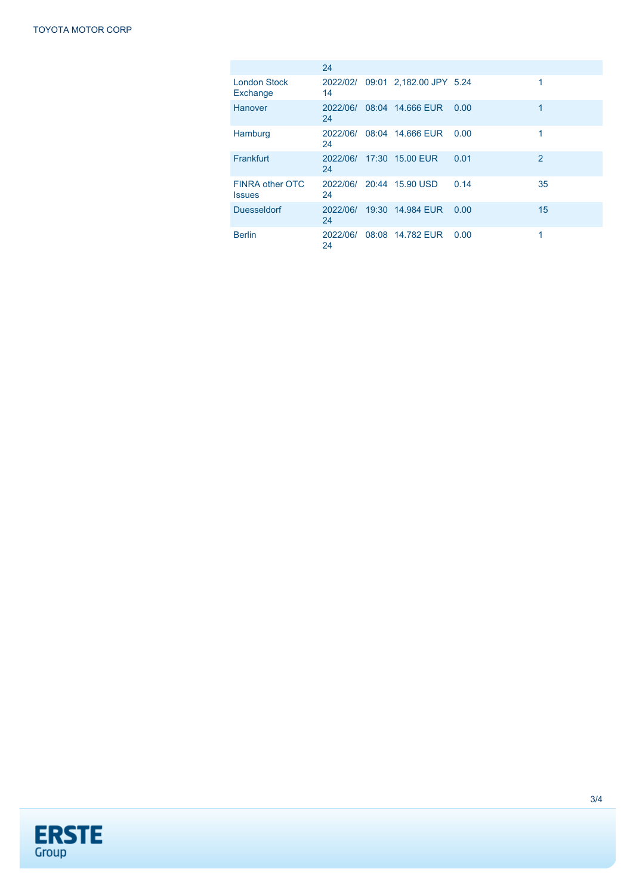|                                  | 24             |                                  |      |                |
|----------------------------------|----------------|----------------------------------|------|----------------|
| London Stock<br>Exchange         | 14             | 2022/02/ 09:01 2,182.00 JPY 5.24 |      | 1              |
| Hanover                          | 2022/06/<br>24 | 08:04 14.666 EUR                 | 0.00 | 1              |
| Hamburg                          | 2022/06/<br>24 | 08:04 14.666 EUR                 | 0.00 | 1              |
| Frankfurt                        | 24             | 2022/06/ 17:30 15.00 EUR         | 0.01 | $\overline{2}$ |
| FINRA other OTC<br><b>Issues</b> | 24             | 2022/06/ 20:44 15.90 USD         | 0.14 | 35             |
| <b>Duesseldorf</b>               | 2022/06/<br>24 | 19:30 14.984 EUR                 | 0.00 | 15             |
| <b>Berlin</b>                    | 2022/06/<br>24 | 08:08 14.782 EUR                 | 0.00 | 1              |